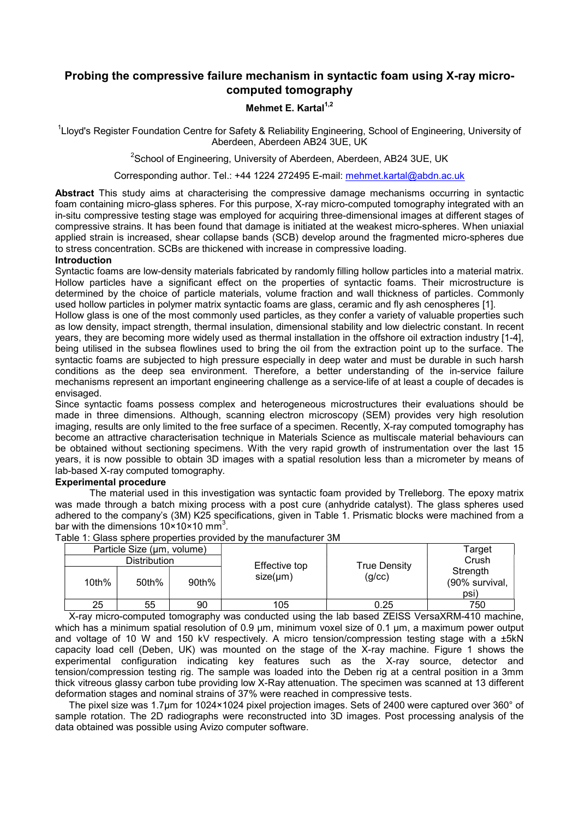# Probing the compressive failure mechanism in syntactic foam using X-ray microcomputed tomography

## Mehmet E. Kartal $1,2$

<sup>1</sup>Lloyd's Register Foundation Centre for Safety & Reliability Engineering, School of Engineering, University of Aberdeen, Aberdeen AB24 3UE, UK

<sup>2</sup>School of Engineering, University of Aberdeen, Aberdeen, AB24 3UE, UK

Corresponding author. Tel.: +44 1224 272495 E-mail: mehmet.kartal@abdn.ac.uk

Abstract This study aims at characterising the compressive damage mechanisms occurring in syntactic foam containing micro-glass spheres. For this purpose, X-ray micro-computed tomography integrated with an in-situ compressive testing stage was employed for acquiring three-dimensional images at different stages of compressive strains. It has been found that damage is initiated at the weakest micro-spheres. When uniaxial applied strain is increased, shear collapse bands (SCB) develop around the fragmented micro-spheres due to stress concentration. SCBs are thickened with increase in compressive loading.

### Introduction

Syntactic foams are low-density materials fabricated by randomly filling hollow particles into a material matrix. Hollow particles have a significant effect on the properties of syntactic foams. Their microstructure is determined by the choice of particle materials, volume fraction and wall thickness of particles. Commonly used hollow particles in polymer matrix syntactic foams are glass, ceramic and fly ash cenospheres [1].

Hollow glass is one of the most commonly used particles, as they confer a variety of valuable properties such as low density, impact strength, thermal insulation, dimensional stability and low dielectric constant. In recent years, they are becoming more widely used as thermal installation in the offshore oil extraction industry [1-4], being utilised in the subsea flowlines used to bring the oil from the extraction point up to the surface. The syntactic foams are subjected to high pressure especially in deep water and must be durable in such harsh conditions as the deep sea environment. Therefore, a better understanding of the in-service failure mechanisms represent an important engineering challenge as a service-life of at least a couple of decades is envisaged.

Since syntactic foams possess complex and heterogeneous microstructures their evaluations should be made in three dimensions. Although, scanning electron microscopy (SEM) provides very high resolution imaging, results are only limited to the free surface of a specimen. Recently, X-ray computed tomography has become an attractive characterisation technique in Materials Science as multiscale material behaviours can be obtained without sectioning specimens. With the very rapid growth of instrumentation over the last 15 years, it is now possible to obtain 3D images with a spatial resolution less than a micrometer by means of lab-based X-ray computed tomography.

#### Experimental procedure

The material used in this investigation was syntactic foam provided by Trelleborg. The epoxy matrix was made through a batch mixing process with a post cure (anhydride catalyst). The glass spheres used adhered to the company's (3M) K25 specifications, given in Table 1. Prismatic blocks were machined from a bar with the dimensions 10×10×10 mm<sup>3</sup>.

| able 1. Glass spriete properties provided by the manufacturer Jivi |       |       |               |              |                                    |  |
|--------------------------------------------------------------------|-------|-------|---------------|--------------|------------------------------------|--|
| Particle Size (um, volume)                                         |       |       | Effective top | True Density | Target<br>Crush                    |  |
| <b>Distribution</b>                                                |       |       |               |              |                                    |  |
| 10th%                                                              | 50th% | 90th% | $size(\mu m)$ | (g/cc)       | Strength<br>(90% survival,<br>psi) |  |
| 25                                                                 | 55    | 90    | 105           | 0.25         | 750                                |  |

Table 1: Glass sphere properties provided by the manufacturer 3M

X-ray micro-computed tomography was conducted using the lab based ZEISS VersaXRM-410 machine, which has a minimum spatial resolution of 0.9 um, minimum voxel size of 0.1 um, a maximum power output and voltage of 10 W and 150 kV respectively. A micro tension/compression testing stage with a ±5kN capacity load cell (Deben, UK) was mounted on the stage of the X-ray machine. Figure 1 shows the experimental configuration indicating key features such as the X-ray source, detector and tension/compression testing rig. The sample was loaded into the Deben rig at a central position in a 3mm thick vitreous glassy carbon tube providing low X-Ray attenuation. The specimen was scanned at 13 different deformation stages and nominal strains of 37% were reached in compressive tests.

The pixel size was 1.7µm for 1024×1024 pixel projection images. Sets of 2400 were captured over 360° of sample rotation. The 2D radiographs were reconstructed into 3D images. Post processing analysis of the data obtained was possible using Avizo computer software.